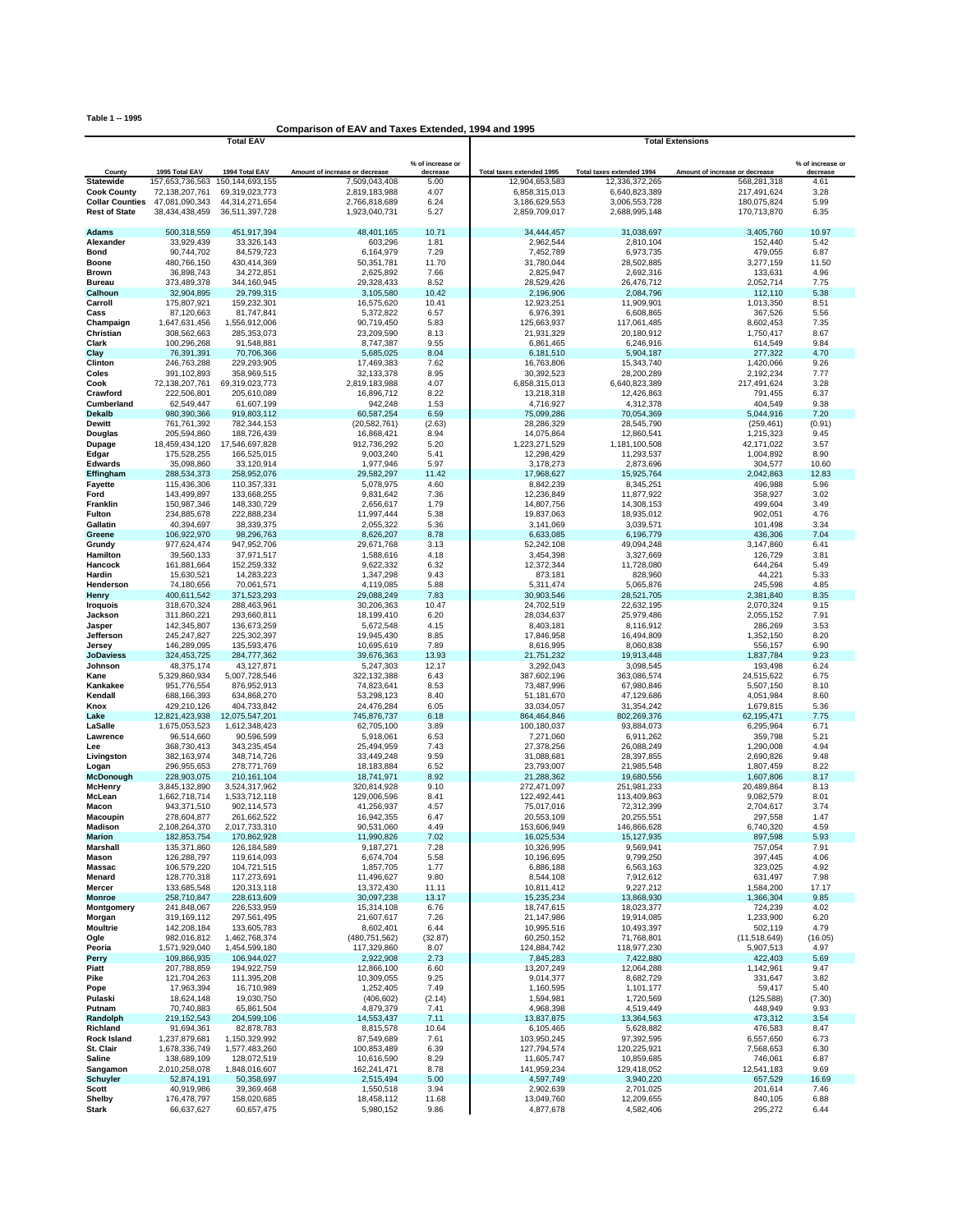**Table 1 -- 1995**

## **Comparison of EAV and Taxes Extended, 1994 and 1995**

|                                                |                                  | <b>Total EAV</b>                 |                                |                              | <b>Total Extensions</b>        |                                |                                |                              |  |
|------------------------------------------------|----------------------------------|----------------------------------|--------------------------------|------------------------------|--------------------------------|--------------------------------|--------------------------------|------------------------------|--|
|                                                |                                  |                                  |                                |                              |                                |                                |                                |                              |  |
| County                                         | 1995 Total EAV                   | 1994 Total EAV                   | Amount of increase or decrease | % of increase or<br>decrease | Total taxes extended 1995      | Total taxes extended 1994      | Amount of increase or decrease | % of increase or<br>decrease |  |
| <b>Statewide</b>                               | 157,653,736,563                  | 150, 144, 693, 155               | 7,509,043,408                  | 5.00                         | 12,904,653,583                 | 12.336.372.265                 | 568,281,318                    | 4.61                         |  |
| <b>Cook County</b>                             | 72,138,207,761                   | 69,319,023,773                   | 2,819,183,988                  | 4.07                         | 6,858,315,013                  | 6,640,823,389                  | 217,491,624                    | 3.28                         |  |
| <b>Collar Counties</b><br><b>Rest of State</b> | 47,081,090,343<br>38,434,438,459 | 44,314,271,654<br>36,511,397,728 | 2,766,818,689<br>1,923,040,731 | 6.24<br>5.27                 | 3,186,629,553<br>2,859,709,017 | 3,006,553,728<br>2,688,995,148 | 180,075,824<br>170,713,870     | 5.99<br>6.35                 |  |
|                                                |                                  |                                  |                                |                              |                                |                                |                                |                              |  |
| Adams                                          | 500,318,559                      | 451,917,394                      | 48,401,165                     | 10.71                        | 34,444,457                     | 31,038,697                     | 3,405,760                      | 10.97                        |  |
| Alexander                                      | 33,929,439                       | 33,326,143                       | 603,296                        | 1.81                         | 2,962,544                      | 2,810,104                      | 152,440                        | 5.42                         |  |
| Bond                                           | 90,744,702                       | 84,579,723                       | 6,164,979                      | 7.29                         | 7,452,789                      | 6,973,735                      | 479,055                        | 6.87                         |  |
| Boone<br>Brown                                 | 480,766,150<br>36,898,743        | 430,414,369<br>34,272,851        | 50,351,781<br>2,625,892        | 11.70<br>7.66                | 31,780,044<br>2,825,947        | 28,502,885<br>2,692,316        | 3,277,159<br>133,631           | 11.50<br>4.96                |  |
| <b>Bureau</b>                                  | 373,489,378                      | 344,160,945                      | 29,328,433                     | 8.52                         | 28,529,426                     | 26,476,712                     | 2,052,714                      | 7.75                         |  |
| Calhoun                                        | 32,904,895                       | 29,799,315                       | 3,105,580                      | 10.42                        | 2,196,906                      | 2,084,796                      | 112,110                        | 5.38                         |  |
| Carroll                                        | 175,807,921                      | 159,232,301                      | 16,575,620                     | 10.41                        | 12,923,251                     | 11,909,901                     | 1,013,350                      | 8.51                         |  |
| Cass                                           | 87,120,663                       | 81,747,841                       | 5,372,822                      | 6.57                         | 6,976,391                      | 6,608,865                      | 367,526                        | 5.56                         |  |
| Champaign<br>Christian                         | 1,647,631,456<br>308,562,663     | 1,556,912,006<br>285,353,073     | 90,719,450<br>23,209,590       | 5.83<br>8.13                 | 125,663,937<br>21,931,329      | 117,061,485<br>20,180,912      | 8,602,453<br>1,750,417         | 7.35<br>8.67                 |  |
| Clark                                          | 100,296,268                      | 91,548,881                       | 8,747,387                      | 9.55                         | 6,861,465                      | 6,246,916                      | 614,549                        | 9.84                         |  |
| Clay                                           | 76,391,391                       | 70,706,366                       | 5,685,025                      | 8.04                         | 6,181,510                      | 5,904,187                      | 277,322                        | 4.70                         |  |
| Clinton                                        | 246,763,288                      | 229,293,905                      | 17,469,383                     | 7.62                         | 16,763,806                     | 15,343,740                     | 1,420,066                      | 9.26                         |  |
| Coles                                          | 391,102,893                      | 358,969,515                      | 32,133,378                     | 8.95                         | 30,392,523                     | 28,200,289                     | 2,192,234                      | 7.77                         |  |
| Cook<br>Crawford                               | 72,138,207,761<br>222,506,801    | 69,319,023,773<br>205,610,089    | 2,819,183,988<br>16,896,712    | 4.07<br>8.22                 | 6,858,315,013<br>13,218,318    | 6,640,823,389<br>12,426,863    | 217,491,624<br>791,455         | 3.28<br>6.37                 |  |
| Cumberland                                     | 62,549,447                       | 61,607,199                       | 942,248                        | 1.53                         | 4,716,927                      | 4,312,378                      | 404,549                        | 9.38                         |  |
| <b>Dekalb</b>                                  | 980,390,366                      | 919,803,112                      | 60,587,254                     | 6.59                         | 75,099,286                     | 70,054,369                     | 5,044,916                      | 7.20                         |  |
| Dewitt                                         | 761,761,392                      | 782,344,153                      | (20, 582, 761)                 | (2.63)                       | 28,286,329                     | 28,545,790                     | (259, 461)                     | (0.91)                       |  |
| Douglas                                        | 205,594,860                      | 188,726,439                      | 16,868,421                     | 8.94                         | 14,075,864                     | 12,860,541                     | 1,215,323                      | 9.45                         |  |
| Dupage<br>Edgar                                | 18,459,434,120<br>175,528,255    | 17,546,697,828<br>166,525,015    | 912,736,292<br>9,003,240       | 5.20<br>5.41                 | 1,223,271,529<br>12,298,429    | 1,181,100,508<br>11,293,537    | 42,171,022<br>1,004,892        | 3.57<br>8.90                 |  |
| <b>Edwards</b>                                 | 35.098.860                       | 33,120,914                       | 1,977,946                      | 5.97                         | 3,178,273                      | 2,873,696                      | 304,577                        | 10.60                        |  |
| Effingham                                      | 288,534,373                      | 258,952,076                      | 29,582,297                     | 11.42                        | 17,968,627                     | 15,925,764                     | 2,042,863                      | 12.83                        |  |
| Fayette                                        | 115,436,306                      | 110,357,331                      | 5,078,975                      | 4.60                         | 8,842,239                      | 8,345,251                      | 496,988                        | 5.96                         |  |
| Ford                                           | 143,499,897                      | 133,668,255                      | 9,831,642                      | 7.36                         | 12,236,849                     | 11,877,922                     | 358,927                        | 3.02                         |  |
| Franklin<br>Fulton                             | 150,987,346<br>234,885,678       | 148,330,729<br>222,888,234       | 2,656,617<br>11,997,444        | 1.79<br>5.38                 | 14,807,756<br>19,837,063       | 14,308,153<br>18,935,012       | 499,604<br>902,051             | 3.49<br>4.76                 |  |
| Gallatin                                       | 40,394,697                       | 38,339,375                       | 2,055,322                      | 5.36                         | 3,141,069                      | 3,039,571                      | 101,498                        | 3.34                         |  |
| Greene                                         | 106,922,970                      | 98,296,763                       | 8,626,207                      | 8.78                         | 6,633,085                      | 6,196,779                      | 436,306                        | 7.04                         |  |
| Grundy                                         | 977,624,474                      | 947, 952, 706                    | 29,671,768                     | 3.13                         | 52,242,108                     | 49,094,248                     | 3,147,860                      | 6.41                         |  |
| Hamilton                                       | 39,560,133                       | 37,971,517                       | 1,588,616                      | 4.18                         | 3,454,398                      | 3,327,669                      | 126,729                        | 3.81                         |  |
| Hancock<br>Hardin                              | 161,881,664<br>15,630,521        | 152,259,332<br>14,283,223        | 9,622,332<br>1,347,298         | 6.32<br>9.43                 | 12,372,344<br>873,181          | 11,728,080<br>828,960          | 644,264<br>44,221              | 5.49<br>5.33                 |  |
| Henderson                                      | 74,180,656                       | 70,061,571                       | 4,119,085                      | 5.88                         | 5,311,474                      | 5,065,876                      | 245,598                        | 4.85                         |  |
| Henry                                          | 400,611,542                      | 371,523,293                      | 29,088,249                     | 7.83                         | 30,903,546                     | 28,521,705                     | 2,381,840                      | 8.35                         |  |
| <b>Iroquois</b>                                | 318,670,324                      | 288,463,961                      | 30,206,363                     | 10.47                        | 24,702,519                     | 22,632,195                     | 2,070,324                      | 9.15                         |  |
| Jackson                                        | 311,860,221                      | 293,660,811                      | 18,199,410                     | 6.20                         | 28,034,637                     | 25,979,486                     | 2,055,152                      | 7.91                         |  |
| Jasper<br>Jefferson                            | 142,345,807<br>245, 247, 827     | 136,673,259<br>225,302,397       | 5,672,548<br>19,945,430        | 4.15<br>8.85                 | 8,403,181<br>17,846,958        | 8,116,912<br>16,494,809        | 286,269<br>1,352,150           | 3.53<br>8.20                 |  |
| Jersey                                         | 146,289,095                      | 135,593,476                      | 10,695,619                     | 7.89                         | 8,616,995                      | 8,060,838                      | 556,157                        | 6.90                         |  |
| <b>JoDaviess</b>                               | 324,453,725                      | 284,777,362                      | 39,676,363                     | 13.93                        | 21,751,232                     | 19,913,448                     | 1,837,784                      | 9.23                         |  |
| Johnson                                        | 48,375,174                       | 43,127,871                       | 5,247,303                      | 12.17                        | 3,292,043                      | 3,098,545                      | 193,498                        | 6.24                         |  |
| Kane                                           | 5,329,860,934                    | 5,007,728,546                    | 322,132,388                    | 6.43                         | 387,602,196                    | 363,086,574                    | 24,515,622                     | 6.75                         |  |
| Kankakee<br>Kendall                            | 951,776,554<br>688,166,393       | 876,952,913<br>634,868,270       | 74,823,641<br>53,298,123       | 8.53<br>8.40                 | 73,487,996<br>51,181,670       | 67,980,846<br>47,129,686       | 5,507,150<br>4,051,984         | 8.10<br>8.60                 |  |
| Knox                                           | 429,210,126                      | 404,733,842                      | 24,476,284                     | 6.05                         | 33,034,057                     | 31,354,242                     | 1,679,815                      | 5.36                         |  |
| Lake                                           | 12,821,423,938                   | 12,075,547,201                   | 745,876,737                    | 6.18                         | 864,464,846                    | 802,269,376                    | 62,195,471                     | 7.75                         |  |
| LaSalle                                        | 1,675,053,523                    | 1,612,348,423                    | 62,705,100                     | 3.89                         | 100,180,037                    | 93,884,073                     | 6,295,964                      | 6.71                         |  |
| Lawrence                                       | 96,514,660                       | 90,596,599                       | 5,918,061                      | 6.53<br>7.43                 | 7,271,060                      | 6,911,262<br>26,088,249        | 359,798<br>1,290,008           | 5.21                         |  |
| Lee<br>Livingston                              | 368,730,413<br>382,163,974       | 343,235,454<br>348,714,726       | 25,494,959<br>33,449,248       | 9.59                         | 27,378,256<br>31,088,681       | 28,397,855                     | 2,690,826                      | 4.94<br>9.48                 |  |
| Logan                                          | 296,955,653                      | 278,771,769                      | 18,183,884                     | 6.52                         | 23,793,007                     | 21,985,548                     | 1,807,459                      | 8.22                         |  |
| McDonough                                      | 228,903,075                      | 210, 161, 104                    | 18,741,971                     | 8.92                         | 21,288,362                     | 19,680,556                     | 1,607,806                      | 8.17                         |  |
| <b>McHenry</b>                                 | 3,845,132,890                    | 3,524,317,962                    | 320,814,928                    | 9.10                         | 272,471,097                    | 251,981,233                    | 20,489,864                     | 8.13                         |  |
| McLean<br>Macon                                | 1,662,718,714<br>943,371,510     | 1,533,712,118<br>902,114,573     | 129,006,596<br>41,256,937      | 8.41<br>4.57                 | 122,492,441<br>75,017,016      | 113,409,863<br>72,312,399      | 9,082,579<br>2,704,617         | 8.01<br>3.74                 |  |
| Macoupin                                       | 278,604,877                      | 261,662,522                      | 16,942,355                     | 6.47                         | 20,553,109                     | 20,255,551                     | 297,558                        | 1.47                         |  |
| Madison                                        | 2,108,264,370                    | 2,017,733,310                    | 90,531,060                     | 4.49                         | 153,606,949                    | 146,866,628                    | 6,740,320                      | 4.59                         |  |
| marion                                         | 182,853,754                      | 170,862,928                      | 11,990,826                     | 7.02                         | 16,025,534                     | 15,127,935                     | 897,598                        | 5.93                         |  |
| Marshall<br>Mason                              | 135,371,860<br>126,288,797       | 126,184,589<br>119,614,093       | 9,187,271<br>6,674,704         | 7.28<br>5.58                 | 10,326,995<br>10,196,695       | 9,569,941<br>9,799,250         | 757,054<br>397,445             | 7.91<br>4.06                 |  |
| Massac                                         | 106,579,220                      | 104,721,515                      | 1,857,705                      | 1.77                         | 6,886,188                      | 6,563,163                      | 323,025                        | 4.92                         |  |
| Menard                                         | 128,770,318                      | 117,273,691                      | 11,496,627                     | 9.80                         | 8,544,108                      | 7,912,612                      | 631,497                        | 7.98                         |  |
| Mercer                                         | 133,685,548                      | 120,313,118                      | 13,372,430                     | 11.11                        | 10,811,412                     | 9,227,212                      | 1,584,200                      | 17.17                        |  |
| <b>Monroe</b>                                  | 258,710,847                      | 228,613,609                      | 30,097,238                     | 13.17                        | 15,235,234                     | 13,868,930                     | 1,366,304                      | 9.85                         |  |
| Montgomery<br>Morgan                           | 241,848,067<br>319,169,112       | 226,533,959<br>297,561,495       | 15,314,108<br>21,607,617       | 6.76<br>7.26                 | 18,747,615<br>21,147,986       | 18,023,377<br>19,914,085       | 724,239<br>1,233,900           | 4.02<br>6.20                 |  |
| <b>Moultrie</b>                                | 142,208,184                      | 133,605,783                      | 8,602,401                      | 6.44                         | 10,995,516                     | 10,493,397                     | 502,119                        | 4.79                         |  |
| Ogle                                           | 982,016,812                      | 1,462,768,374                    | (480, 751, 562)                | (32.87)                      | 60,250,152                     | 71,768,801                     | (11,518,649)                   | (16.05)                      |  |
| Peoria                                         | 1,571,929,040                    | 1,454,599,180                    | 117,329,860                    | 8.07                         | 124,884,742                    | 118,977,230                    | 5,907,513                      | 4.97                         |  |
| Perry                                          | 109,866,935                      | 106,944,027                      | 2,922,908<br>12,866,100        | 2.73                         | 7,845,283                      | 7,422,880<br>12,064,288        | 422,403                        | 5.69                         |  |
| Piatt<br>Pike                                  | 207,788,859<br>121,704,263       | 194,922,759<br>111,395,208       | 10,309,055                     | 6.60<br>9.25                 | 13,207,249<br>9,014,377        | 8,682,729                      | 1,142,961<br>331,647           | 9.47<br>3.82                 |  |
| Pope                                           | 17,963,394                       | 16,710,989                       | 1,252,405                      | 7.49                         | 1,160,595                      | 1,101,177                      | 59,417                         | 5.40                         |  |
| Pulaski                                        | 18,624,148                       | 19,030,750                       | (406, 602)                     | (2.14)                       | 1,594,981                      | 1,720,569                      | (125, 588)                     | (7.30)                       |  |
| Putnam                                         | 70,740,883                       | 65,861,504                       | 4,879,379                      | 7.41                         | 4,968,398                      | 4,519,449                      | 448,949                        | 9.93                         |  |
| Randolph                                       | 219, 152, 543                    | 204,599,106                      | 14,553,437                     | 7.11                         | 13,837,875                     | 13,364,563                     | 473,312                        | 3.54                         |  |
| Richland<br><b>Rock Island</b>                 | 91,694,361<br>1,237,879,681      | 82,878,783<br>1,150,329,992      | 8,815,578<br>87,549,689        | 10.64<br>7.61                | 6,105,465<br>103,950,245       | 5,628,882<br>97,392,595        | 476,583<br>6,557,650           | 8.47<br>6.73                 |  |
| St. Clair                                      | 1,678,336,749                    | 1,577,483,260                    | 100,853,489                    | 6.39                         | 127,794,574                    | 120,225,921                    | 7,568,653                      | 6.30                         |  |
| Saline                                         | 138,689,109                      | 128,072,519                      | 10,616,590                     | 8.29                         | 11,605,747                     | 10,859,685                     | 746,061                        | 6.87                         |  |
| Sangamon                                       | 2,010,258,078                    | 1,848,016,607                    | 162,241,471                    | 8.78                         | 141,959,234                    | 129,418,052                    | 12,541,183                     | 9.69                         |  |
| <b>Schuyler</b><br>Scott                       | 52,874,191<br>40,919,986         | 50,358,697<br>39,369,468         | 2,515,494<br>1,550,518         | 5.00<br>3.94                 | 4,597,749<br>2,902,639         | 3,940,220<br>2,701,025         | 657,529<br>201,614             | 16.69<br>7.46                |  |
| Shelby                                         | 176,478,797                      | 158,020,685                      | 18,458,112                     | 11.68                        | 13,049,760                     | 12,209,655                     | 840,105                        | 6.88                         |  |
| <b>Stark</b>                                   | 66,637,627                       | 60,657,475                       | 5,980,152                      | 9.86                         | 4,877,678                      | 4,582,406                      | 295,272                        | 6.44                         |  |